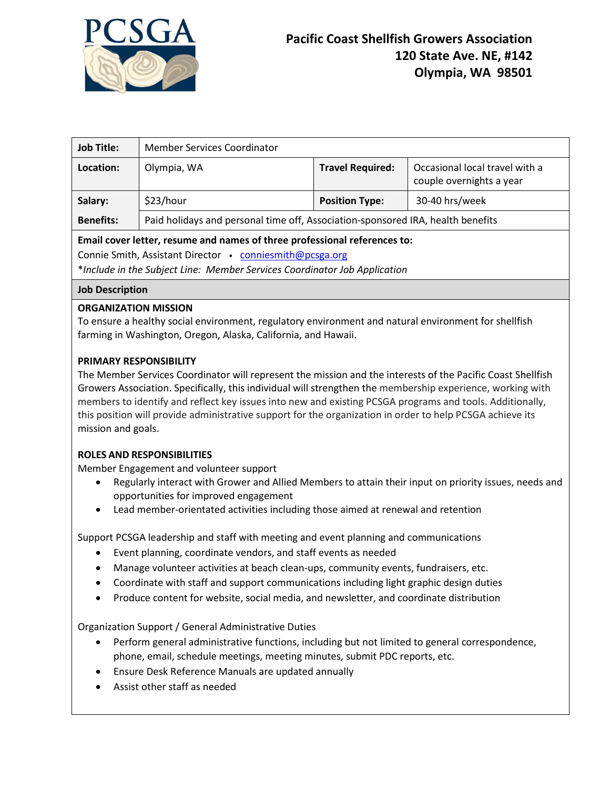

| <b>Job Title:</b>                                                                                                                     | Member Services Coordinator                                                     |                         |                                                            |
|---------------------------------------------------------------------------------------------------------------------------------------|---------------------------------------------------------------------------------|-------------------------|------------------------------------------------------------|
| Location:                                                                                                                             | Olympia, WA                                                                     | <b>Travel Required:</b> | Occasional local travel with a<br>couple overnights a year |
| Salary:                                                                                                                               | \$23/hour                                                                       | <b>Position Type:</b>   | 30-40 hrs/week                                             |
| <b>Benefits:</b>                                                                                                                      | Paid holidays and personal time off, Association-sponsored IRA, health benefits |                         |                                                            |
| Email cover letter, resume and names of three professional references to:<br>Connie Smith, Assistant Director • conniesmith@pcsga.org |                                                                                 |                         |                                                            |

\**Include in the Subject Line: Member Services Coordinator Job Application*

#### **Job Description**

# **ORGANIZATION MISSION**

To ensure a healthy social environment, regulatory environment and natural environment for shellfish farming in Washington, Oregon, Alaska, California, and Hawaii.

# **PRIMARY RESPONSIBILITY**

The Member Services Coordinator will represent the mission and the interests of the Pacific Coast Shellfish Growers Association. Specifically, this individual will strengthen the membership experience, working with members to identify and reflect key issues into new and existing PCSGA programs and tools. Additionally, this position will provide administrative support for the organization in order to help PCSGA achieve its mission and goals.

#### **ROLES AND RESPONSIBILITIES**

Member Engagement and volunteer support

- Regularly interact with Grower and Allied Members to attain their input on priority issues, needs and opportunities for improved engagement
- Lead member-orientated activities including those aimed at renewal and retention

Support PCSGA leadership and staff with meeting and event planning and communications

- Event planning, coordinate vendors, and staff events as needed
- Manage volunteer activities at beach clean-ups, community events, fundraisers, etc.
- Coordinate with staff and support communications including light graphic design duties
- Produce content for website, social media, and newsletter, and coordinate distribution

Organization Support / General Administrative Duties

- Perform general administrative functions, including but not limited to general correspondence, phone, email, schedule meetings, meeting minutes, submit PDC reports, etc.
- Ensure Desk Reference Manuals are updated annually
- Assist other staff as needed